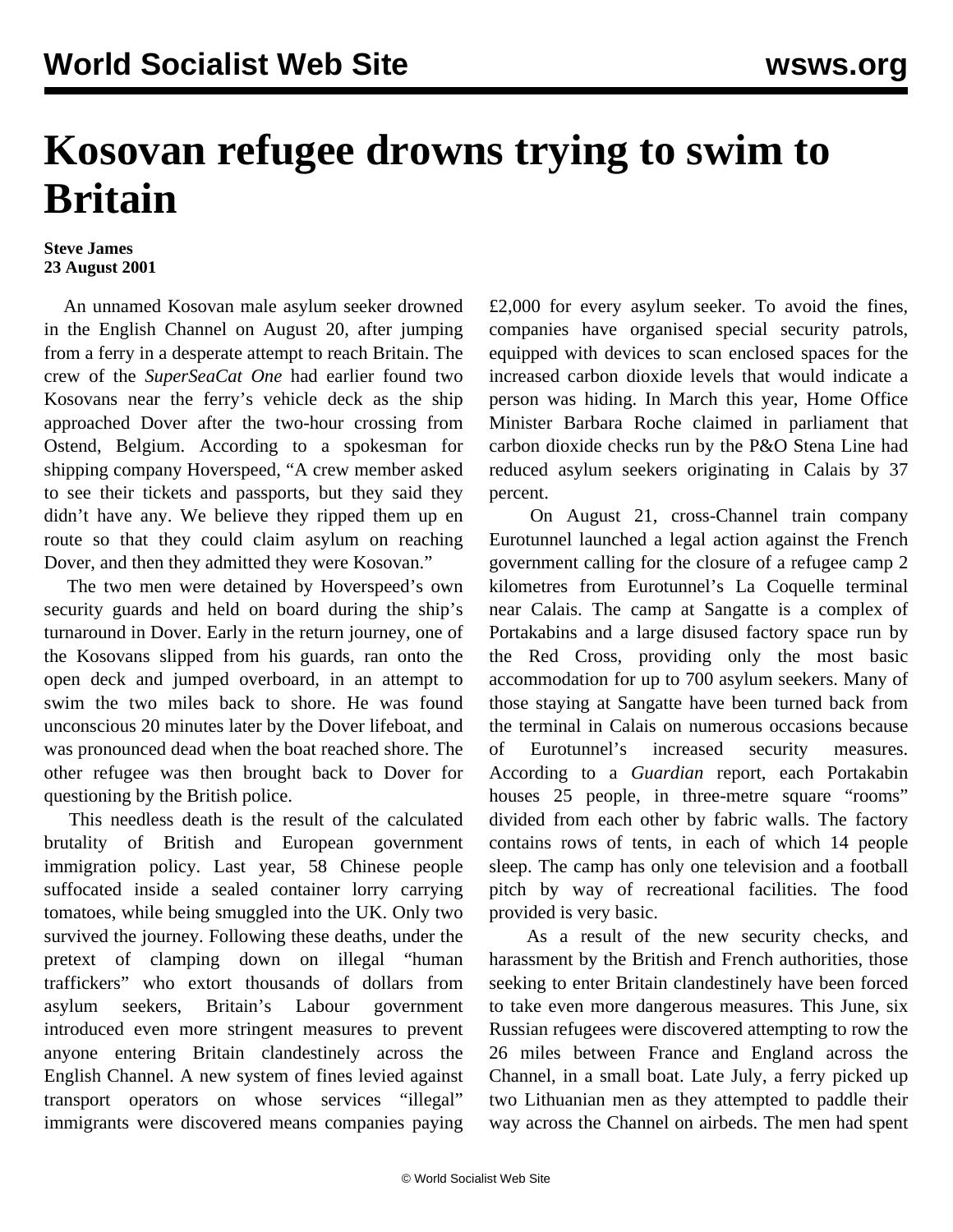## **Kosovan refugee drowns trying to swim to Britain**

## **Steve James 23 August 2001**

 An unnamed Kosovan male asylum seeker drowned in the English Channel on August 20, after jumping from a ferry in a desperate attempt to reach Britain. The crew of the *SuperSeaCat One* had earlier found two Kosovans near the ferry's vehicle deck as the ship approached Dover after the two-hour crossing from Ostend, Belgium. According to a spokesman for shipping company Hoverspeed, "A crew member asked to see their tickets and passports, but they said they didn't have any. We believe they ripped them up en route so that they could claim asylum on reaching Dover, and then they admitted they were Kosovan."

 The two men were detained by Hoverspeed's own security guards and held on board during the ship's turnaround in Dover. Early in the return journey, one of the Kosovans slipped from his guards, ran onto the open deck and jumped overboard, in an attempt to swim the two miles back to shore. He was found unconscious 20 minutes later by the Dover lifeboat, and was pronounced dead when the boat reached shore. The other refugee was then brought back to Dover for questioning by the British police.

 This needless death is the result of the calculated brutality of British and European government immigration policy. Last year, 58 Chinese people suffocated inside a sealed container lorry carrying tomatoes, while being smuggled into the UK. Only two survived the journey. Following these deaths, under the pretext of clamping down on illegal "human traffickers" who extort thousands of dollars from asylum seekers, Britain's Labour government introduced even more stringent measures to prevent anyone entering Britain clandestinely across the English Channel. A new system of fines levied against transport operators on whose services "illegal" immigrants were discovered means companies paying

£2,000 for every asylum seeker. To avoid the fines, companies have organised special security patrols, equipped with devices to scan enclosed spaces for the increased carbon dioxide levels that would indicate a person was hiding. In March this year, Home Office Minister Barbara Roche claimed in parliament that carbon dioxide checks run by the P&O Stena Line had reduced asylum seekers originating in Calais by 37 percent.

 On August 21, cross-Channel train company Eurotunnel launched a legal action against the French government calling for the closure of a refugee camp 2 kilometres from Eurotunnel's La Coquelle terminal near Calais. The camp at Sangatte is a complex of Portakabins and a large disused factory space run by the Red Cross, providing only the most basic accommodation for up to 700 asylum seekers. Many of those staying at Sangatte have been turned back from the terminal in Calais on numerous occasions because of Eurotunnel's increased security measures. According to a *Guardian* report, each Portakabin houses 25 people, in three-metre square "rooms" divided from each other by fabric walls. The factory contains rows of tents, in each of which 14 people sleep. The camp has only one television and a football pitch by way of recreational facilities. The food provided is very basic.

 As a result of the new security checks, and harassment by the British and French authorities, those seeking to enter Britain clandestinely have been forced to take even more dangerous measures. This June, six Russian refugees were discovered attempting to row the 26 miles between France and England across the Channel, in a small boat. Late July, a ferry picked up two Lithuanian men as they attempted to paddle their way across the Channel on airbeds. The men had spent